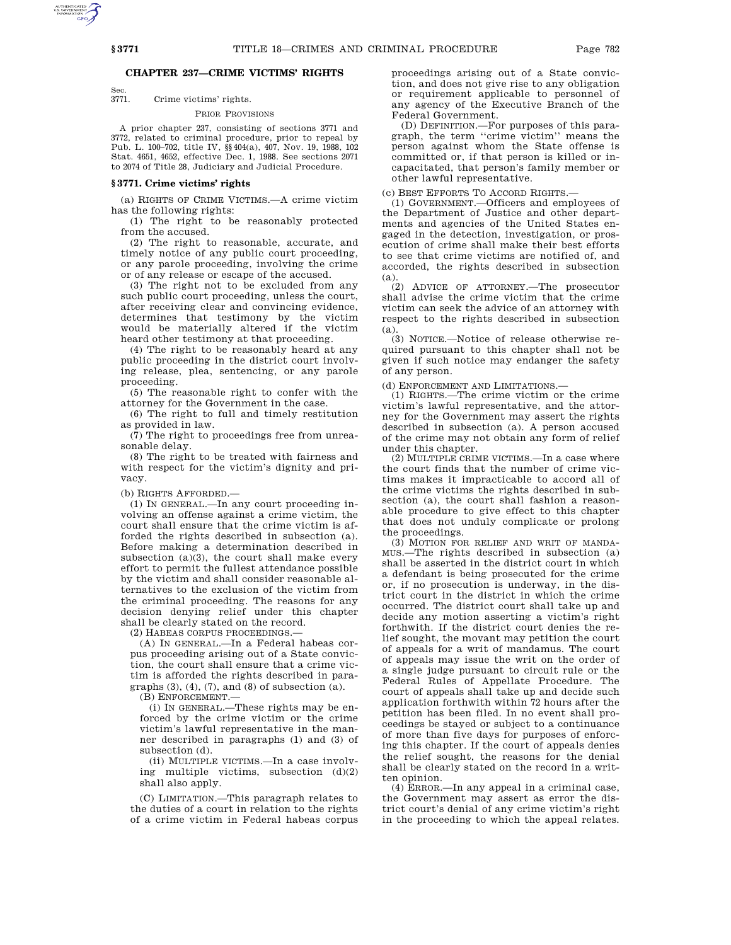# **CHAPTER 237—CRIME VICTIMS' RIGHTS**

Sec. 3771. Crime victims' rights.

## PRIOR PROVISIONS

A prior chapter 237, consisting of sections 3771 and 3772, related to criminal procedure, prior to repeal by Pub. L. 100–702, title IV, §§404(a), 407, Nov. 19, 1988, 102 Stat. 4651, 4652, effective Dec. 1, 1988. See sections 2071 to 2074 of Title 28, Judiciary and Judicial Procedure.

## **§ 3771. Crime victims' rights**

(a) RIGHTS OF CRIME VICTIMS.—A crime victim has the following rights:

(1) The right to be reasonably protected from the accused.

(2) The right to reasonable, accurate, and timely notice of any public court proceeding, or any parole proceeding, involving the crime or of any release or escape of the accused.

(3) The right not to be excluded from any such public court proceeding, unless the court, after receiving clear and convincing evidence, determines that testimony by the victim would be materially altered if the victim heard other testimony at that proceeding.

(4) The right to be reasonably heard at any public proceeding in the district court involving release, plea, sentencing, or any parole proceeding.

(5) The reasonable right to confer with the attorney for the Government in the case.

(6) The right to full and timely restitution as provided in law.

(7) The right to proceedings free from unreasonable delay.

(8) The right to be treated with fairness and with respect for the victim's dignity and privacy.

(b) RIGHTS AFFORDED.—

(1) IN GENERAL.—In any court proceeding involving an offense against a crime victim, the court shall ensure that the crime victim is afforded the rights described in subsection (a). Before making a determination described in subsection  $(a)(3)$ , the court shall make every effort to permit the fullest attendance possible by the victim and shall consider reasonable alternatives to the exclusion of the victim from the criminal proceeding. The reasons for any decision denying relief under this chapter shall be clearly stated on the record.

(2) HABEAS CORPUS PROCEEDINGS.—

(A) IN GENERAL.—In a Federal habeas corpus proceeding arising out of a State conviction, the court shall ensure that a crime victim is afforded the rights described in paragraphs  $(3)$ ,  $(4)$ ,  $(7)$ , and  $(8)$  of subsection  $(a)$ .

(B) ENFORCEMENT.—

(i) IN GENERAL.—These rights may be enforced by the crime victim or the crime victim's lawful representative in the manner described in paragraphs (1) and (3) of subsection (d).

(ii) MULTIPLE VICTIMS.—In a case involving multiple victims, subsection (d)(2) shall also apply.

(C) LIMITATION.—This paragraph relates to the duties of a court in relation to the rights of a crime victim in Federal habeas corpus proceedings arising out of a State conviction, and does not give rise to any obligation or requirement applicable to personnel of any agency of the Executive Branch of the Federal Government.

(D) DEFINITION.—For purposes of this paragraph, the term ''crime victim'' means the person against whom the State offense is committed or, if that person is killed or incapacitated, that person's family member or other lawful representative.

(c) BEST EFFORTS TO ACCORD RIGHTS.—

(1) GOVERNMENT.—Officers and employees of the Department of Justice and other departments and agencies of the United States engaged in the detection, investigation, or prosecution of crime shall make their best efforts to see that crime victims are notified of, and accorded, the rights described in subsection (a).

(2) ADVICE OF ATTORNEY.—The prosecutor shall advise the crime victim that the crime victim can seek the advice of an attorney with respect to the rights described in subsection (a).

(3) NOTICE.—Notice of release otherwise required pursuant to this chapter shall not be given if such notice may endanger the safety of any person.

(d) ENFORCEMENT AND LIMITATIONS.—

(1) RIGHTS.—The crime victim or the crime victim's lawful representative, and the attorney for the Government may assert the rights described in subsection (a). A person accused of the crime may not obtain any form of relief under this chapter.

(2) MULTIPLE CRIME VICTIMS.—In a case where the court finds that the number of crime victims makes it impracticable to accord all of the crime victims the rights described in subsection (a), the court shall fashion a reasonable procedure to give effect to this chapter that does not unduly complicate or prolong the proceedings.

(3) MOTION FOR RELIEF AND WRIT OF MANDA-MUS.—The rights described in subsection (a) shall be asserted in the district court in which a defendant is being prosecuted for the crime or, if no prosecution is underway, in the district court in the district in which the crime occurred. The district court shall take up and decide any motion asserting a victim's right forthwith. If the district court denies the relief sought, the movant may petition the court of appeals for a writ of mandamus. The court of appeals may issue the writ on the order of a single judge pursuant to circuit rule or the Federal Rules of Appellate Procedure. The court of appeals shall take up and decide such application forthwith within 72 hours after the petition has been filed. In no event shall proceedings be stayed or subject to a continuance of more than five days for purposes of enforcing this chapter. If the court of appeals denies the relief sought, the reasons for the denial shall be clearly stated on the record in a written opinion.

(4) ERROR.—In any appeal in a criminal case, the Government may assert as error the district court's denial of any crime victim's right in the proceeding to which the appeal relates.